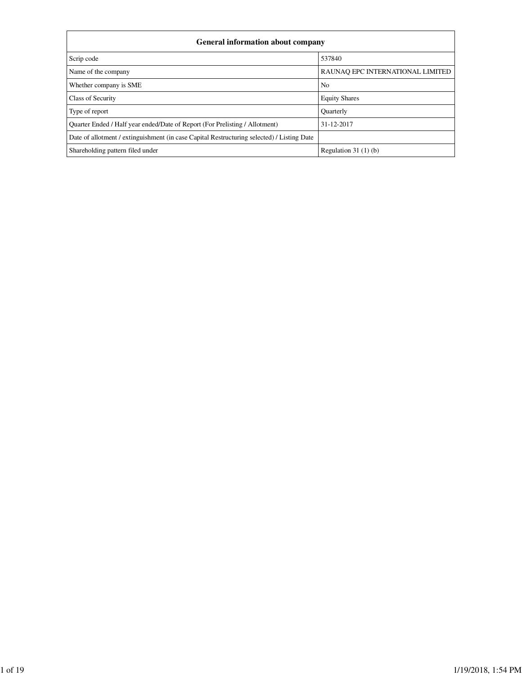| <b>General information about company</b>                                                   |                                  |  |  |  |  |
|--------------------------------------------------------------------------------------------|----------------------------------|--|--|--|--|
| Scrip code                                                                                 | 537840                           |  |  |  |  |
| Name of the company                                                                        | RAUNAO EPC INTERNATIONAL LIMITED |  |  |  |  |
| Whether company is SME                                                                     | N <sub>0</sub>                   |  |  |  |  |
| Class of Security                                                                          | <b>Equity Shares</b>             |  |  |  |  |
| Type of report                                                                             | <b>Quarterly</b>                 |  |  |  |  |
| Quarter Ended / Half year ended/Date of Report (For Prelisting / Allotment)                | 31-12-2017                       |  |  |  |  |
| Date of allotment / extinguishment (in case Capital Restructuring selected) / Listing Date |                                  |  |  |  |  |
| Shareholding pattern filed under                                                           | Regulation $31(1)(b)$            |  |  |  |  |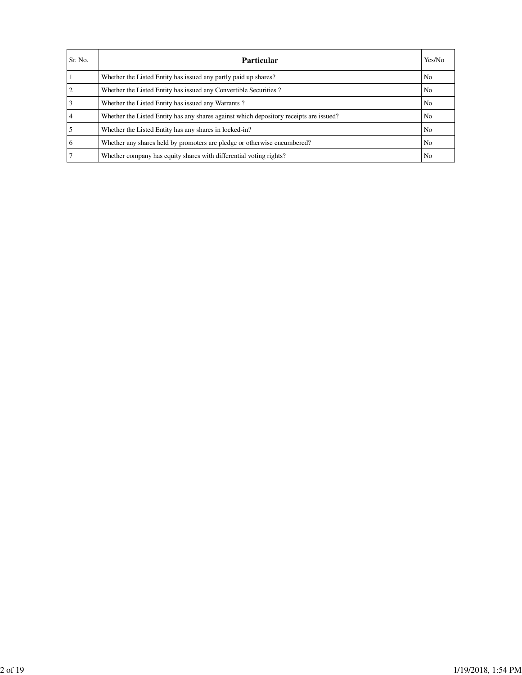| Sr. No. | <b>Particular</b>                                                                      | Yes/No         |
|---------|----------------------------------------------------------------------------------------|----------------|
|         | Whether the Listed Entity has issued any partly paid up shares?                        | No             |
|         | Whether the Listed Entity has issued any Convertible Securities?                       | N <sub>0</sub> |
|         | Whether the Listed Entity has issued any Warrants?                                     | No             |
|         | Whether the Listed Entity has any shares against which depository receipts are issued? | N <sub>0</sub> |
|         | Whether the Listed Entity has any shares in locked-in?                                 | No             |
| 6       | Whether any shares held by promoters are pledge or otherwise encumbered?               | No             |
|         | Whether company has equity shares with differential voting rights?                     | No             |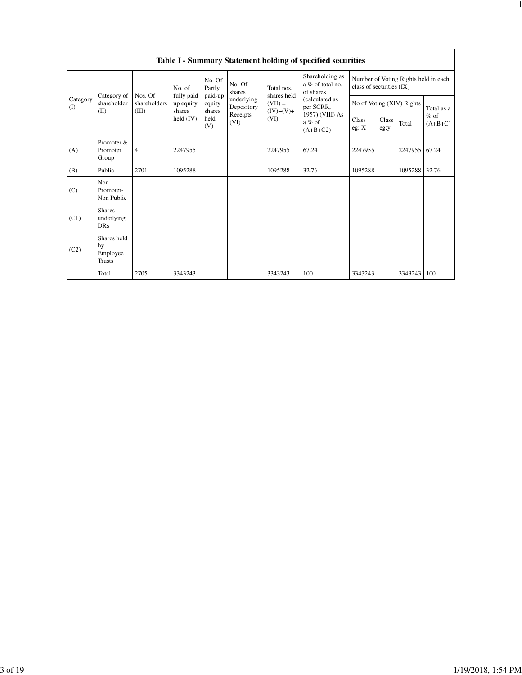|                 |                                                |                |                         |                       |                          |                                                               | Table I - Summary Statement holding of specified securities                                                                |                                                                  |               |         |                                   |
|-----------------|------------------------------------------------|----------------|-------------------------|-----------------------|--------------------------|---------------------------------------------------------------|----------------------------------------------------------------------------------------------------------------------------|------------------------------------------------------------------|---------------|---------|-----------------------------------|
|                 |                                                | Nos. Of        | No. of                  | No. Of<br>Partly      | No. Of<br>shares         | Total nos.<br>shares held<br>$(VII) =$<br>$(IV)+(V)+$<br>(VI) | Shareholding as<br>a % of total no.<br>of shares<br>(calculated as<br>per SCRR,<br>1957) (VIII) As<br>a % of<br>$(A+B+C2)$ | Number of Voting Rights held in each<br>class of securities (IX) |               |         |                                   |
| Category<br>(I) | Category of<br>shareholder                     | shareholders   | fully paid<br>up equity | paid-up<br>equity     | underlying<br>Depository |                                                               |                                                                                                                            | No of Voting (XIV) Rights                                        |               |         | Total as a<br>$%$ of<br>$(A+B+C)$ |
| (II)            |                                                | (III)          | shares<br>held (IV)     | shares<br>held<br>(V) | Receipts<br>(VI)         |                                                               |                                                                                                                            | Class<br>eg: X                                                   | Class<br>eg:y | Total   |                                   |
| (A)             | Promoter &<br>Promoter<br>Group                | $\overline{4}$ | 2247955                 |                       |                          | 2247955                                                       | 67.24                                                                                                                      | 2247955                                                          |               | 2247955 | 67.24                             |
| (B)             | Public                                         | 2701           | 1095288                 |                       |                          | 1095288                                                       | 32.76                                                                                                                      | 1095288                                                          |               | 1095288 | 32.76                             |
| (C)             | Non<br>Promoter-<br>Non Public                 |                |                         |                       |                          |                                                               |                                                                                                                            |                                                                  |               |         |                                   |
| (C1)            | <b>Shares</b><br>underlying<br><b>DRs</b>      |                |                         |                       |                          |                                                               |                                                                                                                            |                                                                  |               |         |                                   |
| (C2)            | Shares held<br>by<br>Employee<br><b>Trusts</b> |                |                         |                       |                          |                                                               |                                                                                                                            |                                                                  |               |         |                                   |
|                 | Total                                          | 2705           | 3343243                 |                       |                          | 3343243                                                       | 100                                                                                                                        | 3343243                                                          |               | 3343243 | 100                               |

file:///C:/Users/Sect/Desktop/Revised Shareholding Pattern REIL.html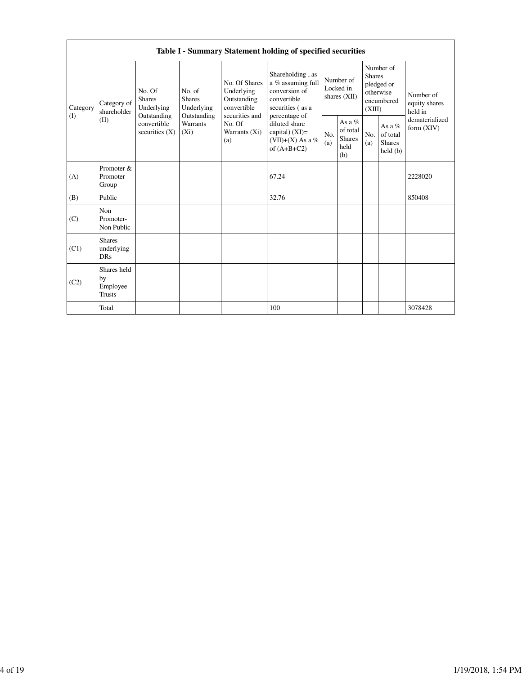|                 | Table I - Summary Statement holding of specified securities                                               |                  |                                                                             |                                                                                                               |                                                                                                            |                                        |                                                      |                                                                               |                                                |                                       |  |  |
|-----------------|-----------------------------------------------------------------------------------------------------------|------------------|-----------------------------------------------------------------------------|---------------------------------------------------------------------------------------------------------------|------------------------------------------------------------------------------------------------------------|----------------------------------------|------------------------------------------------------|-------------------------------------------------------------------------------|------------------------------------------------|---------------------------------------|--|--|
| Category<br>(1) | No. Of<br><b>Shares</b><br>Category of<br>Underlying<br>shareholder<br>Outstanding<br>(II)<br>convertible |                  | No. of<br><b>Shares</b><br>Underlying<br>Outstanding<br>Warrants<br>$(X_i)$ | No. Of Shares<br>Underlying<br>Outstanding<br>convertible<br>securities and<br>No. Of<br>Warrants (Xi)<br>(a) | Shareholding, as<br>a % assuming full<br>conversion of<br>convertible<br>securities (as a<br>percentage of | Number of<br>Locked in<br>shares (XII) |                                                      | Number of<br><b>Shares</b><br>pledged or<br>otherwise<br>encumbered<br>(XIII) |                                                | Number of<br>equity shares<br>held in |  |  |
|                 |                                                                                                           | securities $(X)$ |                                                                             |                                                                                                               | diluted share<br>capital) (XI)=<br>(VII)+(X) As a %<br>of $(A+B+C2)$                                       | No.<br>(a)                             | As a $%$<br>of total<br><b>Shares</b><br>held<br>(b) | No.<br>(a)                                                                    | As a %<br>of total<br><b>Shares</b><br>held(b) | dematerialized<br>form (XIV)          |  |  |
| (A)             | Promoter &<br>Promoter<br>Group                                                                           |                  |                                                                             |                                                                                                               | 67.24                                                                                                      |                                        |                                                      |                                                                               |                                                | 2228020                               |  |  |
| (B)             | Public                                                                                                    |                  |                                                                             |                                                                                                               | 32.76                                                                                                      |                                        |                                                      |                                                                               |                                                | 850408                                |  |  |
| (C)             | Non<br>Promoter-<br>Non Public                                                                            |                  |                                                                             |                                                                                                               |                                                                                                            |                                        |                                                      |                                                                               |                                                |                                       |  |  |
| (C1)            | <b>Shares</b><br>underlying<br><b>DRs</b>                                                                 |                  |                                                                             |                                                                                                               |                                                                                                            |                                        |                                                      |                                                                               |                                                |                                       |  |  |
| (C2)            | Shares held<br>by<br>Employee<br><b>Trusts</b>                                                            |                  |                                                                             |                                                                                                               |                                                                                                            |                                        |                                                      |                                                                               |                                                |                                       |  |  |
|                 | Total                                                                                                     |                  |                                                                             |                                                                                                               | 100                                                                                                        |                                        |                                                      |                                                                               |                                                | 3078428                               |  |  |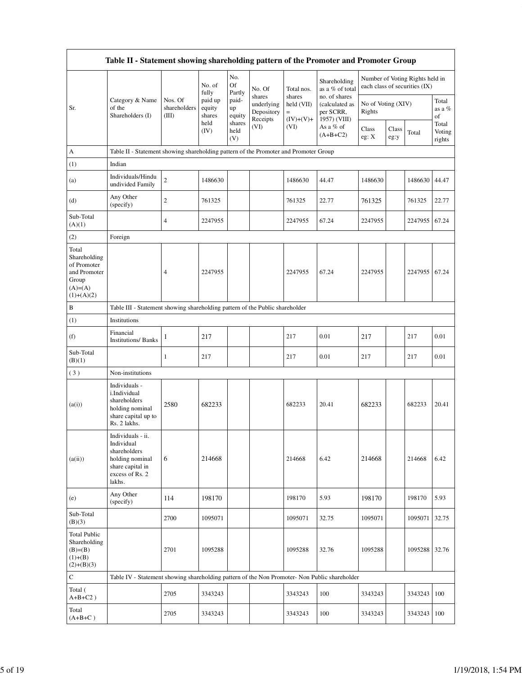|                                                                                             | Table II - Statement showing shareholding pattern of the Promoter and Promoter Group                                |                                  |                             |                       |                                                |                                     |                                                              |                              |               |                                                                  |                           |
|---------------------------------------------------------------------------------------------|---------------------------------------------------------------------------------------------------------------------|----------------------------------|-----------------------------|-----------------------|------------------------------------------------|-------------------------------------|--------------------------------------------------------------|------------------------------|---------------|------------------------------------------------------------------|---------------------------|
|                                                                                             |                                                                                                                     |                                  | No. of<br>fully             | No.<br>Of<br>Partly   | No. Of                                         | Total nos.                          | Shareholding<br>as a % of total                              |                              |               | Number of Voting Rights held in<br>each class of securities (IX) |                           |
| Sr.                                                                                         | Category & Name<br>of the<br>Shareholders (I)                                                                       | Nos. Of<br>shareholders<br>(III) | paid up<br>equity<br>shares | paid-<br>up<br>equity | shares<br>underlying<br>Depository<br>Receipts | shares<br>held (VII)<br>$(IV)+(V)+$ | no. of shares<br>(calculated as<br>per SCRR,<br>1957) (VIII) | No of Voting (XIV)<br>Rights |               |                                                                  | Total<br>as a %<br>of     |
|                                                                                             |                                                                                                                     |                                  | held<br>(IV)                | shares<br>held<br>(V) | (VI)                                           | (VI)                                | As a % of<br>$(A+B+C2)$                                      | Class<br>eg: X               | Class<br>eg:y | Total                                                            | Total<br>Voting<br>rights |
| А                                                                                           | Table II - Statement showing shareholding pattern of the Promoter and Promoter Group                                |                                  |                             |                       |                                                |                                     |                                                              |                              |               |                                                                  |                           |
| (1)                                                                                         | Indian                                                                                                              |                                  |                             |                       |                                                |                                     |                                                              |                              |               |                                                                  |                           |
| (a)                                                                                         | Individuals/Hindu<br>undivided Family                                                                               | $\overline{c}$                   | 1486630                     |                       |                                                | 1486630                             | 44.47                                                        | 1486630                      |               | 1486630                                                          | 44.47                     |
| (d)                                                                                         | Any Other<br>(specify)                                                                                              | $\overline{c}$                   | 761325                      |                       |                                                | 761325                              | 22.77                                                        | 761325                       |               | 761325                                                           | 22.77                     |
| Sub-Total<br>(A)(1)                                                                         |                                                                                                                     | 4                                | 2247955                     |                       |                                                | 2247955                             | 67.24                                                        | 2247955                      |               | 2247955                                                          | 67.24                     |
| (2)                                                                                         | Foreign                                                                                                             |                                  |                             |                       |                                                |                                     |                                                              |                              |               |                                                                  |                           |
| Total<br>Shareholding<br>of Promoter<br>and Promoter<br>Group<br>$(A)= (A)$<br>$(1)+(A)(2)$ |                                                                                                                     | 4                                | 2247955                     |                       |                                                | 2247955                             | 67.24                                                        | 2247955                      |               | 2247955                                                          | 67.24                     |
| B                                                                                           | Table III - Statement showing shareholding pattern of the Public shareholder                                        |                                  |                             |                       |                                                |                                     |                                                              |                              |               |                                                                  |                           |
| (1)                                                                                         | Institutions                                                                                                        |                                  |                             |                       |                                                |                                     |                                                              |                              |               |                                                                  |                           |
| (f)                                                                                         | Financial<br><b>Institutions/Banks</b>                                                                              | 1                                | 217                         |                       |                                                | 217                                 | 0.01                                                         | 217                          |               | 217                                                              | 0.01                      |
| Sub-Total<br>(B)(1)                                                                         |                                                                                                                     | 1                                | 217                         |                       |                                                | 217                                 | 0.01                                                         | 217                          |               | 217                                                              | 0.01                      |
| (3)                                                                                         | Non-institutions                                                                                                    |                                  |                             |                       |                                                |                                     |                                                              |                              |               |                                                                  |                           |
| (a(i))                                                                                      | Individuals -<br>i.Individual<br>shareholders<br>holding nominal<br>share capital up to<br>Rs. 2 lakhs.             | 2580                             | 682233                      |                       |                                                | 682233                              | 20.41                                                        | 682233                       |               | 682233                                                           | 20.41                     |
| (a(ii))                                                                                     | Individuals - ii.<br>Individual<br>shareholders<br>holding nominal<br>share capital in<br>excess of Rs. 2<br>lakhs. | 6                                | 214668                      |                       |                                                | 214668                              | 6.42                                                         | 214668                       |               | 214668                                                           | 6.42                      |
| (e)                                                                                         | Any Other<br>(specify)                                                                                              | 114                              | 198170                      |                       |                                                | 198170                              | 5.93                                                         | 198170                       |               | 198170                                                           | 5.93                      |
| Sub-Total<br>(B)(3)                                                                         |                                                                                                                     | 2700                             | 1095071                     |                       |                                                | 1095071                             | 32.75                                                        | 1095071                      |               | 1095071                                                          | 32.75                     |
| <b>Total Public</b><br>Shareholding<br>$(B)= (B)$<br>$(1)+(B)$<br>$(2)+(B)(3)$              |                                                                                                                     | 2701                             | 1095288                     |                       |                                                | 1095288                             | 32.76                                                        | 1095288                      |               | 1095288                                                          | 32.76                     |
| $\mathbf C$                                                                                 | Table IV - Statement showing shareholding pattern of the Non Promoter- Non Public shareholder                       |                                  |                             |                       |                                                |                                     |                                                              |                              |               |                                                                  |                           |
| Total (<br>$A+B+C2$ )                                                                       |                                                                                                                     | 2705                             | 3343243                     |                       |                                                | 3343243                             | 100                                                          | 3343243                      |               | 3343243                                                          | 100                       |
| Total<br>$(A+B+C)$                                                                          |                                                                                                                     | 2705                             | 3343243                     |                       |                                                | 3343243                             | 100                                                          | 3343243                      |               | 3343243                                                          | 100                       |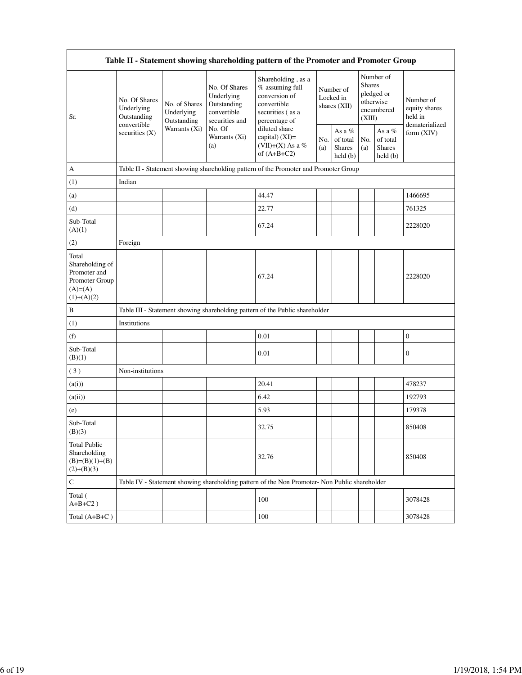| Table II - Statement showing shareholding pattern of the Promoter and Promoter Group     |                                            |                                            |                                                                             |                                                                                                                                                                                    |                                          |                                         |                                                                               |                                                |                                                         |
|------------------------------------------------------------------------------------------|--------------------------------------------|--------------------------------------------|-----------------------------------------------------------------------------|------------------------------------------------------------------------------------------------------------------------------------------------------------------------------------|------------------------------------------|-----------------------------------------|-------------------------------------------------------------------------------|------------------------------------------------|---------------------------------------------------------|
| Sr.                                                                                      | No. Of Shares<br>Underlying<br>Outstanding | No. of Shares<br>Underlying<br>Outstanding | No. Of Shares<br>Underlying<br>Outstanding<br>convertible<br>securities and | Shareholding, as a<br>% assuming full<br>conversion of<br>convertible<br>securities (as a<br>percentage of<br>diluted share<br>capital) (XI)=<br>(VII)+(X) As a %<br>of $(A+B+C2)$ | Number of<br>Locked in<br>shares $(XII)$ |                                         | Number of<br><b>Shares</b><br>pledged or<br>otherwise<br>encumbered<br>(XIII) |                                                | Number of<br>equity shares<br>held in<br>dematerialized |
|                                                                                          | convertible<br>securities $(X)$            | Warrants (Xi)                              | No. Of<br>Warrants (Xi)<br>(a)                                              |                                                                                                                                                                                    | No.<br>(a)                               | As a %<br>of total<br>Shares<br>held(b) | No.<br>(a)                                                                    | As a %<br>of total<br><b>Shares</b><br>held(b) | form (XIV)                                              |
| А                                                                                        |                                            |                                            |                                                                             | Table II - Statement showing shareholding pattern of the Promoter and Promoter Group                                                                                               |                                          |                                         |                                                                               |                                                |                                                         |
| (1)                                                                                      | Indian                                     |                                            |                                                                             |                                                                                                                                                                                    |                                          |                                         |                                                                               |                                                |                                                         |
| (a)                                                                                      |                                            |                                            |                                                                             | 44.47                                                                                                                                                                              |                                          |                                         |                                                                               |                                                | 1466695                                                 |
| (d)                                                                                      |                                            |                                            |                                                                             | 22.77                                                                                                                                                                              |                                          |                                         |                                                                               |                                                | 761325                                                  |
| Sub-Total<br>(A)(1)                                                                      |                                            |                                            |                                                                             | 67.24                                                                                                                                                                              |                                          |                                         |                                                                               |                                                | 2228020                                                 |
| (2)                                                                                      | Foreign                                    |                                            |                                                                             |                                                                                                                                                                                    |                                          |                                         |                                                                               |                                                |                                                         |
| Total<br>Shareholding of<br>Promoter and<br>Promoter Group<br>$(A)= (A)$<br>$(1)+(A)(2)$ |                                            |                                            |                                                                             | 67.24                                                                                                                                                                              |                                          |                                         |                                                                               |                                                | 2228020                                                 |
| B                                                                                        |                                            |                                            |                                                                             | Table III - Statement showing shareholding pattern of the Public shareholder                                                                                                       |                                          |                                         |                                                                               |                                                |                                                         |
| (1)                                                                                      | Institutions                               |                                            |                                                                             |                                                                                                                                                                                    |                                          |                                         |                                                                               |                                                |                                                         |
| (f)                                                                                      |                                            |                                            |                                                                             | 0.01                                                                                                                                                                               |                                          |                                         |                                                                               |                                                | $\boldsymbol{0}$                                        |
| Sub-Total<br>(B)(1)                                                                      |                                            |                                            |                                                                             | 0.01                                                                                                                                                                               |                                          |                                         |                                                                               |                                                | $\boldsymbol{0}$                                        |
| (3)                                                                                      | Non-institutions                           |                                            |                                                                             |                                                                                                                                                                                    |                                          |                                         |                                                                               |                                                |                                                         |
| (a(i))                                                                                   |                                            |                                            |                                                                             | 20.41                                                                                                                                                                              |                                          |                                         |                                                                               |                                                | 478237                                                  |
| (a(ii))                                                                                  |                                            |                                            |                                                                             | 6.42                                                                                                                                                                               |                                          |                                         |                                                                               |                                                | 192793                                                  |
| (e)                                                                                      |                                            |                                            |                                                                             | 5.93                                                                                                                                                                               |                                          |                                         |                                                                               |                                                | 179378                                                  |
| Sub-Total<br>(B)(3)                                                                      |                                            |                                            |                                                                             | 32.75                                                                                                                                                                              |                                          |                                         |                                                                               |                                                | 850408                                                  |
| <b>Total Public</b><br>Shareholding<br>$(B)=(B)(1)+(B)$<br>$(2)+(B)(3)$                  |                                            |                                            |                                                                             | 32.76                                                                                                                                                                              |                                          |                                         |                                                                               |                                                | 850408                                                  |
| ${\bf C}$                                                                                |                                            |                                            |                                                                             | Table IV - Statement showing shareholding pattern of the Non Promoter- Non Public shareholder                                                                                      |                                          |                                         |                                                                               |                                                |                                                         |
| Total (<br>$A+B+C2$ )                                                                    |                                            |                                            |                                                                             | 100                                                                                                                                                                                |                                          |                                         |                                                                               |                                                | 3078428                                                 |
| Total $(A+B+C)$                                                                          |                                            |                                            |                                                                             | 100                                                                                                                                                                                |                                          |                                         |                                                                               |                                                | 3078428                                                 |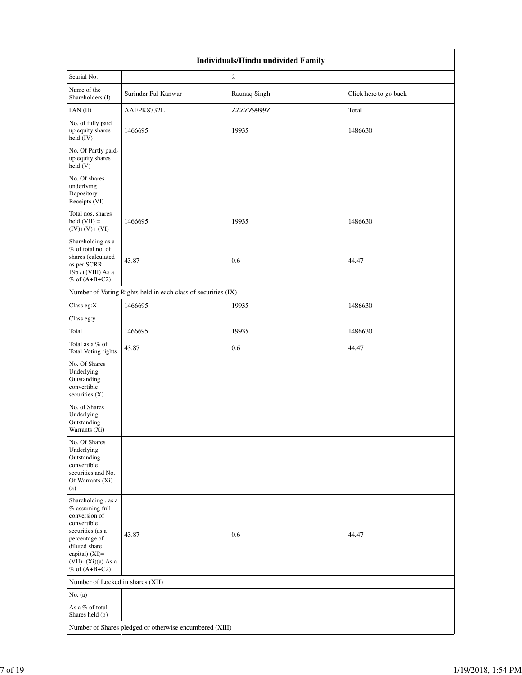|                                                                                                                                                                                          | Individuals/Hindu undivided Family                            |              |                       |  |  |  |  |
|------------------------------------------------------------------------------------------------------------------------------------------------------------------------------------------|---------------------------------------------------------------|--------------|-----------------------|--|--|--|--|
| Searial No.                                                                                                                                                                              | $\mathbf{1}$                                                  | $\sqrt{2}$   |                       |  |  |  |  |
| Name of the<br>Shareholders (I)                                                                                                                                                          | Surinder Pal Kanwar                                           | Raunaq Singh | Click here to go back |  |  |  |  |
| PAN (II)                                                                                                                                                                                 | AAFPK8732L                                                    | ZZZZZ9999Z   | Total                 |  |  |  |  |
| No. of fully paid<br>up equity shares<br>held (IV)                                                                                                                                       | 1466695                                                       | 19935        | 1486630               |  |  |  |  |
| No. Of Partly paid-<br>up equity shares<br>held(V)                                                                                                                                       |                                                               |              |                       |  |  |  |  |
| No. Of shares<br>underlying<br>Depository<br>Receipts (VI)                                                                                                                               |                                                               |              |                       |  |  |  |  |
| Total nos. shares<br>held $(VII) =$<br>$(IV)+(V)+(VI)$                                                                                                                                   | 1466695                                                       | 19935        | 1486630               |  |  |  |  |
| Shareholding as a<br>% of total no. of<br>shares (calculated<br>as per SCRR,<br>1957) (VIII) As a<br>% of $(A+B+C2)$                                                                     | 43.87                                                         | 0.6          | 44.47                 |  |  |  |  |
|                                                                                                                                                                                          | Number of Voting Rights held in each class of securities (IX) |              |                       |  |  |  |  |
| Class eg:X                                                                                                                                                                               | 1466695                                                       | 19935        | 1486630               |  |  |  |  |
| Class eg:y                                                                                                                                                                               |                                                               |              |                       |  |  |  |  |
| Total                                                                                                                                                                                    | 1466695                                                       | 19935        | 1486630               |  |  |  |  |
| Total as a % of<br>Total Voting rights                                                                                                                                                   | 43.87                                                         | 0.6          | 44.47                 |  |  |  |  |
| No. Of Shares<br>Underlying<br>Outstanding<br>convertible<br>securities (X)                                                                                                              |                                                               |              |                       |  |  |  |  |
| No. of Shares<br>Underlying<br>Outstanding<br>Warrants (Xi)                                                                                                                              |                                                               |              |                       |  |  |  |  |
| No. Of Shares<br>Underlying<br>Outstanding<br>convertible<br>securities and No.<br>Of Warrants (Xi)<br>(a)                                                                               |                                                               |              |                       |  |  |  |  |
| Shareholding, as a<br>% assuming full<br>conversion of<br>convertible<br>securities (as a<br>percentage of<br>diluted share<br>capital) (XI)=<br>$(VII)+(Xi)(a)$ As a<br>% of $(A+B+C2)$ | 43.87                                                         | 0.6          | 44.47                 |  |  |  |  |
| Number of Locked in shares (XII)                                                                                                                                                         |                                                               |              |                       |  |  |  |  |
| No. $(a)$                                                                                                                                                                                |                                                               |              |                       |  |  |  |  |
| As a % of total<br>Shares held (b)                                                                                                                                                       |                                                               |              |                       |  |  |  |  |
|                                                                                                                                                                                          | Number of Shares pledged or otherwise encumbered (XIII)       |              |                       |  |  |  |  |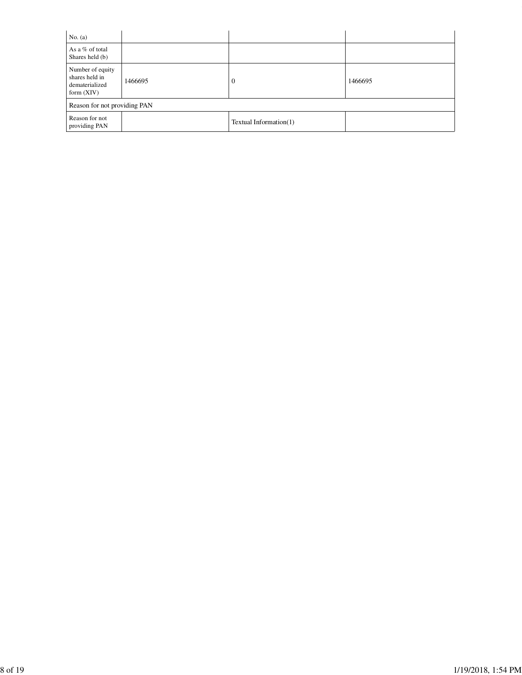| No. $(a)$                                                            |         |                        |         |
|----------------------------------------------------------------------|---------|------------------------|---------|
| As a % of total<br>Shares held (b)                                   |         |                        |         |
| Number of equity<br>shares held in<br>dematerialized<br>form $(XIV)$ | 1466695 | $\theta$               | 1466695 |
| Reason for not providing PAN                                         |         |                        |         |
| Reason for not<br>providing PAN                                      |         | Textual Information(1) |         |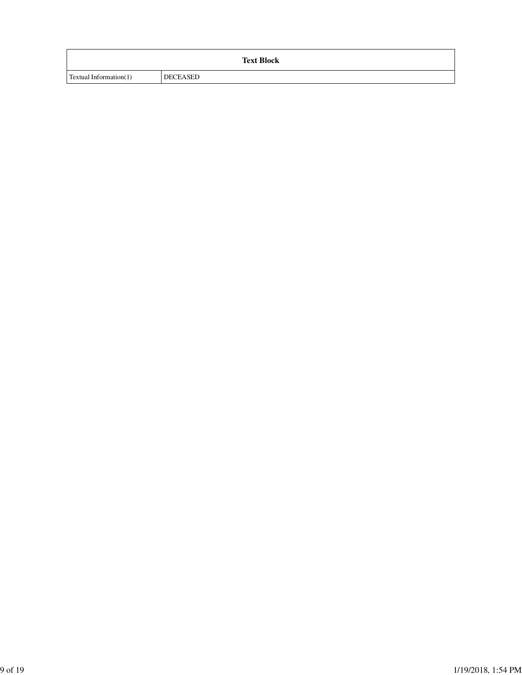|                               |                 | <b>Text Block</b> |
|-------------------------------|-----------------|-------------------|
| <b>Textual Information(1)</b> | <b>DECEASED</b> |                   |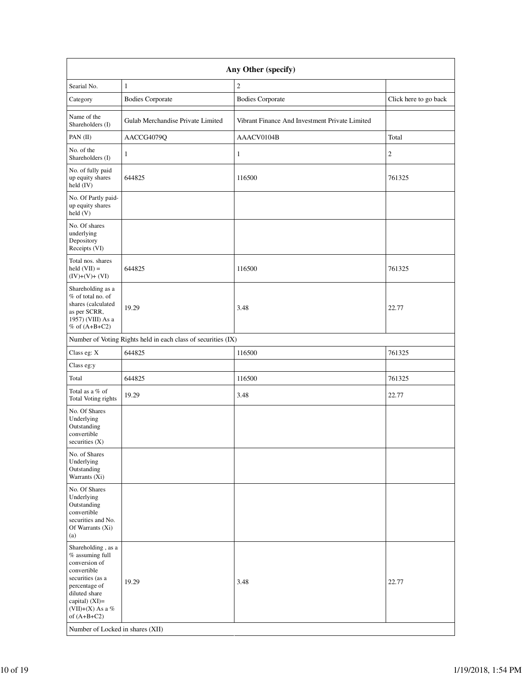|                                                                                                                                                                                                                            |                                                               | Any Other (specify)                            |                       |
|----------------------------------------------------------------------------------------------------------------------------------------------------------------------------------------------------------------------------|---------------------------------------------------------------|------------------------------------------------|-----------------------|
| Searial No.                                                                                                                                                                                                                | $\mathbf{1}$                                                  | $\overline{c}$                                 |                       |
| Category                                                                                                                                                                                                                   | <b>Bodies Corporate</b>                                       | <b>Bodies Corporate</b>                        | Click here to go back |
| Name of the<br>Shareholders (I)                                                                                                                                                                                            | Gulab Merchandise Private Limited                             | Vibrant Finance And Investment Private Limited |                       |
| PAN(II)                                                                                                                                                                                                                    | AACCG4079Q                                                    | AAACV0104B                                     | Total                 |
| No. of the<br>Shareholders (I)                                                                                                                                                                                             | 1                                                             | 1                                              | $\mathfrak{2}$        |
| No. of fully paid<br>up equity shares<br>held (IV)                                                                                                                                                                         | 644825                                                        | 116500                                         | 761325                |
| No. Of Partly paid-<br>up equity shares<br>held(V)                                                                                                                                                                         |                                                               |                                                |                       |
| No. Of shares<br>underlying<br>Depository<br>Receipts (VI)                                                                                                                                                                 |                                                               |                                                |                       |
| Total nos. shares<br>held $(VII) =$<br>$(IV)+(V)+(VI)$                                                                                                                                                                     | 644825                                                        | 116500                                         | 761325                |
| Shareholding as a<br>% of total no. of<br>shares (calculated<br>as per SCRR,<br>1957) (VIII) As a<br>$%$ of $(A+B+C2)$                                                                                                     | 19.29                                                         | 3.48                                           | 22.77                 |
|                                                                                                                                                                                                                            | Number of Voting Rights held in each class of securities (IX) |                                                |                       |
| Class eg: X                                                                                                                                                                                                                | 644825                                                        | 116500                                         | 761325                |
| Class eg:y                                                                                                                                                                                                                 |                                                               |                                                |                       |
| Total                                                                                                                                                                                                                      | 644825                                                        | 116500                                         | 761325                |
| Total as a % of<br>Total Voting rights                                                                                                                                                                                     | 19.29                                                         | 3.48                                           | 22.77                 |
| No. Of Shares<br>Underlying<br>Outstanding<br>convertible<br>securities $(X)$                                                                                                                                              |                                                               |                                                |                       |
| No. of Shares<br>Underlying<br>Outstanding<br>Warrants (Xi)                                                                                                                                                                |                                                               |                                                |                       |
| No. Of Shares<br>Underlying<br>Outstanding<br>convertible<br>securities and No.<br>Of Warrants (Xi)<br>(a)                                                                                                                 |                                                               |                                                |                       |
| Shareholding, as a<br>$%$ assuming full<br>conversion of<br>convertible<br>securities (as a<br>percentage of<br>diluted share<br>capital) $(XI)=$<br>(VII)+(X) As a %<br>of $(A+B+C2)$<br>Number of Locked in shares (XII) | 19.29                                                         | 3.48                                           | 22.77                 |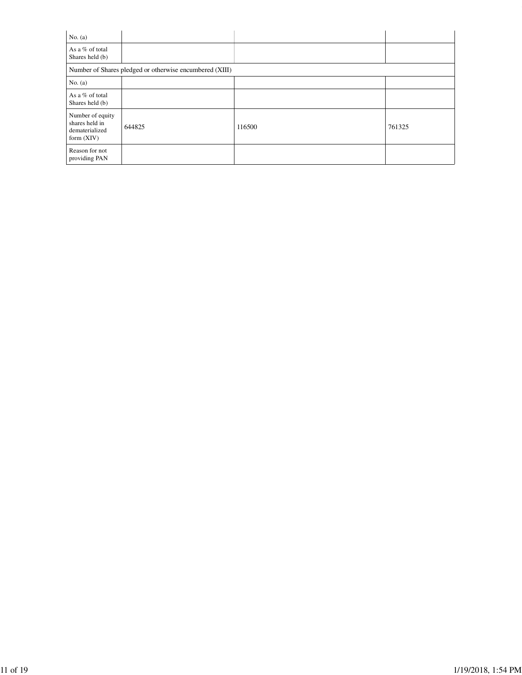| No. $(a)$                                                            |                                                         |        |        |
|----------------------------------------------------------------------|---------------------------------------------------------|--------|--------|
| As a % of total<br>Shares held (b)                                   |                                                         |        |        |
|                                                                      | Number of Shares pledged or otherwise encumbered (XIII) |        |        |
| No. $(a)$                                                            |                                                         |        |        |
| As a % of total<br>Shares held (b)                                   |                                                         |        |        |
| Number of equity<br>shares held in<br>dematerialized<br>form $(XIV)$ | 644825                                                  | 116500 | 761325 |
| Reason for not<br>providing PAN                                      |                                                         |        |        |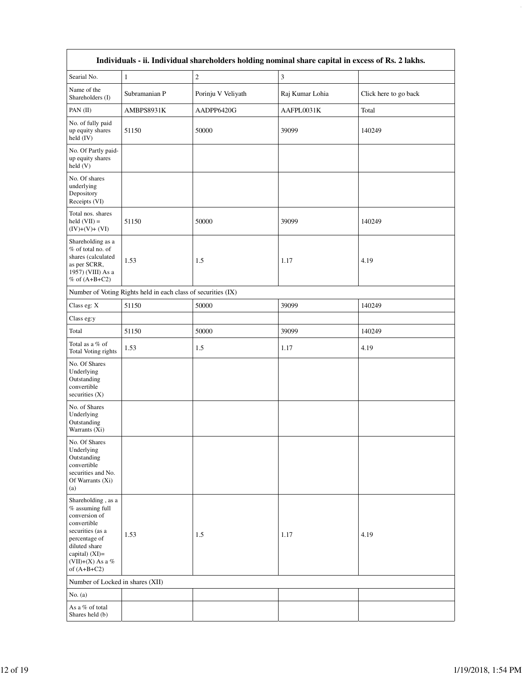| Individuals - ii. Individual shareholders holding nominal share capital in excess of Rs. 2 lakhs.                                                                                  |                                                               |                    |                 |                       |  |  |  |  |
|------------------------------------------------------------------------------------------------------------------------------------------------------------------------------------|---------------------------------------------------------------|--------------------|-----------------|-----------------------|--|--|--|--|
| Searial No.                                                                                                                                                                        | $\mathbf{1}$                                                  | $\sqrt{2}$         | 3               |                       |  |  |  |  |
| Name of the<br>Shareholders (I)                                                                                                                                                    | Subramanian P                                                 | Porinju V Veliyath | Raj Kumar Lohia | Click here to go back |  |  |  |  |
| PAN (II)                                                                                                                                                                           | AMBPS8931K                                                    | AADPP6420G         | AAFPL0031K      | Total                 |  |  |  |  |
| No. of fully paid<br>up equity shares<br>held (IV)                                                                                                                                 | 51150                                                         | 50000              | 39099           | 140249                |  |  |  |  |
| No. Of Partly paid-<br>up equity shares<br>held(V)                                                                                                                                 |                                                               |                    |                 |                       |  |  |  |  |
| No. Of shares<br>underlying<br>Depository<br>Receipts (VI)                                                                                                                         |                                                               |                    |                 |                       |  |  |  |  |
| Total nos. shares<br>held $(VII) =$<br>$(IV)+(V)+(VI)$                                                                                                                             | 51150                                                         | 50000              | 39099           | 140249                |  |  |  |  |
| Shareholding as a<br>% of total no. of<br>shares (calculated<br>as per SCRR,<br>1957) (VIII) As a<br>$%$ of $(A+B+C2)$                                                             | 1.53                                                          | 1.5                | 1.17            | 4.19                  |  |  |  |  |
|                                                                                                                                                                                    | Number of Voting Rights held in each class of securities (IX) |                    |                 |                       |  |  |  |  |
| Class eg: X                                                                                                                                                                        | 51150                                                         | 50000              | 39099           | 140249                |  |  |  |  |
| Class eg:y                                                                                                                                                                         |                                                               |                    |                 |                       |  |  |  |  |
| Total                                                                                                                                                                              | 51150                                                         | 50000              | 39099           | 140249                |  |  |  |  |
| Total as a % of<br>Total Voting rights                                                                                                                                             | 1.53                                                          | 1.5                | 1.17            | 4.19                  |  |  |  |  |
| No. Of Shares<br>Underlying<br>Outstanding<br>convertible<br>securities $(X)$                                                                                                      |                                                               |                    |                 |                       |  |  |  |  |
| No. of Shares<br>Underlying<br>Outstanding<br>Warrants (Xi)                                                                                                                        |                                                               |                    |                 |                       |  |  |  |  |
| No. Of Shares<br>Underlying<br>Outstanding<br>convertible<br>securities and No.<br>Of Warrants (Xi)<br>(a)                                                                         |                                                               |                    |                 |                       |  |  |  |  |
| Shareholding, as a<br>% assuming full<br>conversion of<br>convertible<br>securities (as a<br>percentage of<br>diluted share<br>capital) (XI)=<br>(VII)+(X) As a %<br>of $(A+B+C2)$ | 1.53                                                          | 1.5                | 1.17            | 4.19                  |  |  |  |  |
| Number of Locked in shares (XII)                                                                                                                                                   |                                                               |                    |                 |                       |  |  |  |  |
| No. $(a)$                                                                                                                                                                          |                                                               |                    |                 |                       |  |  |  |  |
| As a % of total<br>Shares held (b)                                                                                                                                                 |                                                               |                    |                 |                       |  |  |  |  |

file:///C:/Users/Sect/Desktop/Revised Shareholding Pattern REIL.html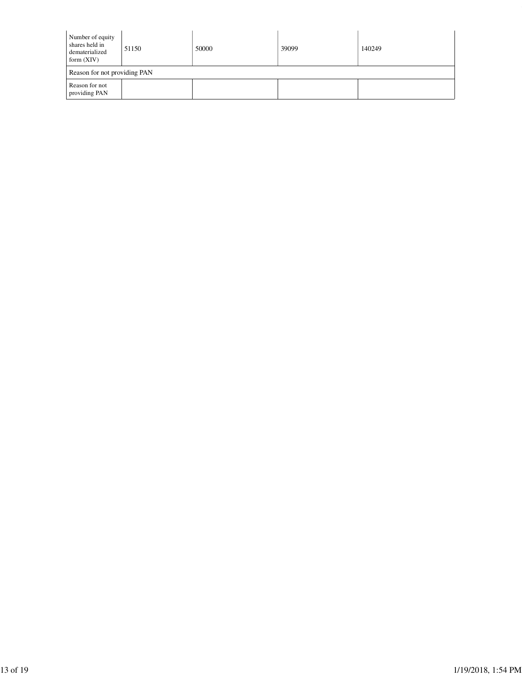| Number of equity<br>shares held in<br>dematerialized<br>form $(XIV)$ | 51150 | 50000 | 39099 | 140249 |  |  |  |
|----------------------------------------------------------------------|-------|-------|-------|--------|--|--|--|
| Reason for not providing PAN                                         |       |       |       |        |  |  |  |
| Reason for not<br>providing PAN                                      |       |       |       |        |  |  |  |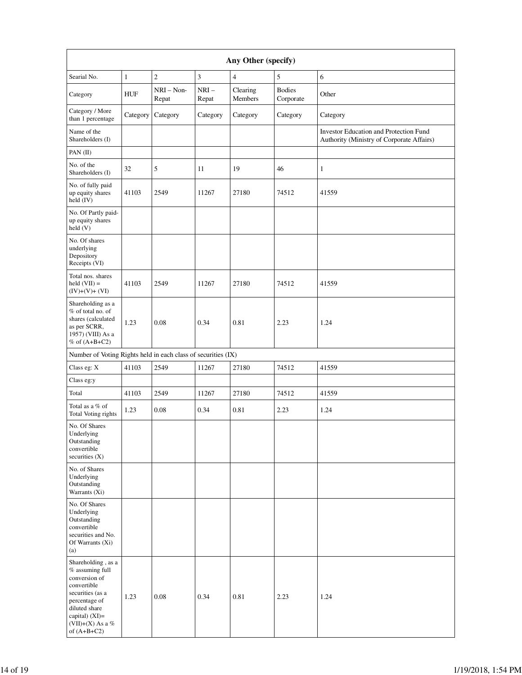| Any Other (specify)                                                                                                                                                                  |              |                       |                 |                     |                            |                                                                                            |  |
|--------------------------------------------------------------------------------------------------------------------------------------------------------------------------------------|--------------|-----------------------|-----------------|---------------------|----------------------------|--------------------------------------------------------------------------------------------|--|
| Searial No.                                                                                                                                                                          | $\mathbf{1}$ | $\sqrt{2}$            | 3               | 4                   | 5                          | 6                                                                                          |  |
| Category                                                                                                                                                                             | <b>HUF</b>   | $NRI - Non-$<br>Repat | $NRI-$<br>Repat | Clearing<br>Members | <b>Bodies</b><br>Corporate | Other                                                                                      |  |
| Category / More<br>than 1 percentage                                                                                                                                                 | Category     | Category              | Category        | Category            | Category                   | Category                                                                                   |  |
| Name of the<br>Shareholders (I)                                                                                                                                                      |              |                       |                 |                     |                            | <b>Investor Education and Protection Fund</b><br>Authority (Ministry of Corporate Affairs) |  |
| PAN (II)                                                                                                                                                                             |              |                       |                 |                     |                            |                                                                                            |  |
| No. of the<br>Shareholders (I)                                                                                                                                                       | 32           | 5                     | 11              | 19                  | 46                         | 1                                                                                          |  |
| No. of fully paid<br>up equity shares<br>held (IV)                                                                                                                                   | 41103        | 2549                  | 11267           | 27180               | 74512                      | 41559                                                                                      |  |
| No. Of Partly paid-<br>up equity shares<br>held (V)                                                                                                                                  |              |                       |                 |                     |                            |                                                                                            |  |
| No. Of shares<br>underlying<br>Depository<br>Receipts (VI)                                                                                                                           |              |                       |                 |                     |                            |                                                                                            |  |
| Total nos. shares<br>$held (VII) =$<br>$(IV)+(V)+(VI)$                                                                                                                               | 41103        | 2549                  | 11267           | 27180               | 74512                      | 41559                                                                                      |  |
| Shareholding as a<br>% of total no. of<br>shares (calculated<br>as per SCRR,<br>1957) (VIII) As a<br>% of $(A+B+C2)$                                                                 | 1.23         | 0.08                  | 0.34            | 0.81                | 2.23                       | 1.24                                                                                       |  |
| Number of Voting Rights held in each class of securities (IX)                                                                                                                        |              |                       |                 |                     |                            |                                                                                            |  |
| Class eg: X                                                                                                                                                                          | 41103        | 2549                  | 11267           | 27180               | 74512                      | 41559                                                                                      |  |
| Class eg:y                                                                                                                                                                           |              |                       |                 |                     |                            |                                                                                            |  |
| Total                                                                                                                                                                                | 41103        | 2549                  | 11267           | 27180               | 74512                      | 41559                                                                                      |  |
| Total as a % of<br>Total Voting rights                                                                                                                                               | 1.23         | 0.08                  | 0.34            | 0.81                | 2.23                       | 1.24                                                                                       |  |
| No. Of Shares<br>Underlying<br>Outstanding<br>convertible<br>securities $(X)$                                                                                                        |              |                       |                 |                     |                            |                                                                                            |  |
| No. of Shares<br>Underlying<br>Outstanding<br>Warrants (Xi)                                                                                                                          |              |                       |                 |                     |                            |                                                                                            |  |
| No. Of Shares<br>Underlying<br>Outstanding<br>convertible<br>securities and No.<br>Of Warrants (Xi)<br>(a)                                                                           |              |                       |                 |                     |                            |                                                                                            |  |
| Shareholding, as a<br>$%$ assuming full<br>conversion of<br>convertible<br>securities (as a<br>percentage of<br>diluted share<br>capital) (XI)=<br>(VII)+(X) As a %<br>of $(A+B+C2)$ | 1.23         | 0.08                  | 0.34            | 0.81                | 2.23                       | 1.24                                                                                       |  |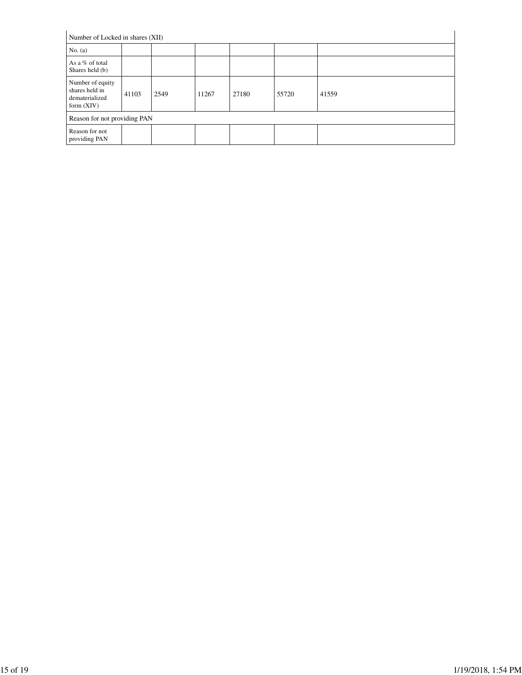| Number of Locked in shares (XII)                                     |       |      |       |       |       |       |
|----------------------------------------------------------------------|-------|------|-------|-------|-------|-------|
| No. $(a)$                                                            |       |      |       |       |       |       |
| As a % of total<br>Shares held (b)                                   |       |      |       |       |       |       |
| Number of equity<br>shares held in<br>dematerialized<br>form $(XIV)$ | 41103 | 2549 | 11267 | 27180 | 55720 | 41559 |
| Reason for not providing PAN                                         |       |      |       |       |       |       |
| Reason for not<br>providing PAN                                      |       |      |       |       |       |       |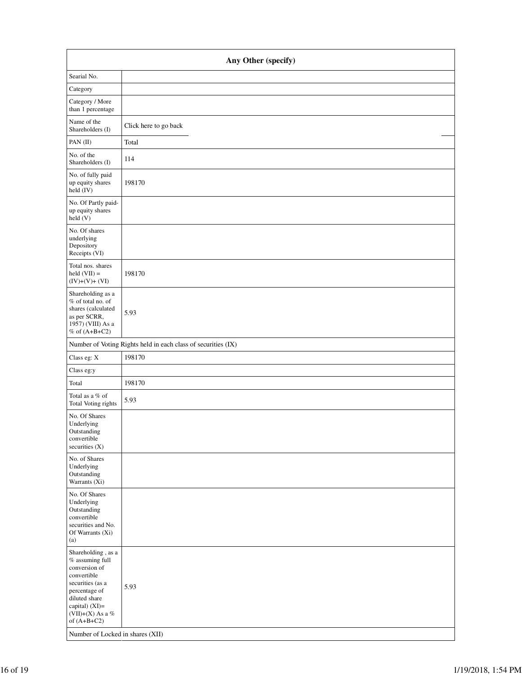| Any Other (specify)                                                                                                                                                                                                         |                                                               |  |  |  |  |
|-----------------------------------------------------------------------------------------------------------------------------------------------------------------------------------------------------------------------------|---------------------------------------------------------------|--|--|--|--|
| Searial No.                                                                                                                                                                                                                 |                                                               |  |  |  |  |
| Category                                                                                                                                                                                                                    |                                                               |  |  |  |  |
| Category / More<br>than 1 percentage                                                                                                                                                                                        |                                                               |  |  |  |  |
| Name of the<br>Shareholders (I)                                                                                                                                                                                             | Click here to go back                                         |  |  |  |  |
| PAN (II)                                                                                                                                                                                                                    | Total                                                         |  |  |  |  |
| No. of the<br>Shareholders (I)                                                                                                                                                                                              | 114                                                           |  |  |  |  |
| No. of fully paid<br>up equity shares<br>held (IV)                                                                                                                                                                          | 198170                                                        |  |  |  |  |
| No. Of Partly paid-<br>up equity shares<br>held(V)                                                                                                                                                                          |                                                               |  |  |  |  |
| No. Of shares<br>underlying<br>Depository<br>Receipts (VI)                                                                                                                                                                  |                                                               |  |  |  |  |
| Total nos. shares<br>held $(VII)$ =<br>$(IV)+(V)+(VI)$                                                                                                                                                                      | 198170                                                        |  |  |  |  |
| Shareholding as a<br>% of total no. of<br>shares (calculated<br>as per SCRR,<br>1957) (VIII) As a<br>% of $(A+B+C2)$                                                                                                        | 5.93                                                          |  |  |  |  |
|                                                                                                                                                                                                                             | Number of Voting Rights held in each class of securities (IX) |  |  |  |  |
| Class eg: X                                                                                                                                                                                                                 | 198170                                                        |  |  |  |  |
| Class eg:y                                                                                                                                                                                                                  |                                                               |  |  |  |  |
| Total                                                                                                                                                                                                                       | 198170                                                        |  |  |  |  |
| Total as a % of<br>Total Voting rights                                                                                                                                                                                      | 5.93                                                          |  |  |  |  |
| No. Of Shares<br>Underlying<br>Outstanding<br>convertible<br>securities (X)                                                                                                                                                 |                                                               |  |  |  |  |
| No. of Shares<br>Underlying<br>Outstanding<br>Warrants (Xi)                                                                                                                                                                 |                                                               |  |  |  |  |
| No. Of Shares<br>Underlying<br>Outstanding<br>convertible<br>securities and No.<br>Of Warrants (Xi)<br>(a)                                                                                                                  |                                                               |  |  |  |  |
| Shareholding, as a<br>$%$ assuming full<br>conversion of<br>convertible<br>securities (as a<br>percentage of<br>diluted share<br>capital) (XI)=<br>(VII)+(X) As a $\%$<br>of $(A+B+C2)$<br>Number of Locked in shares (XII) | 5.93                                                          |  |  |  |  |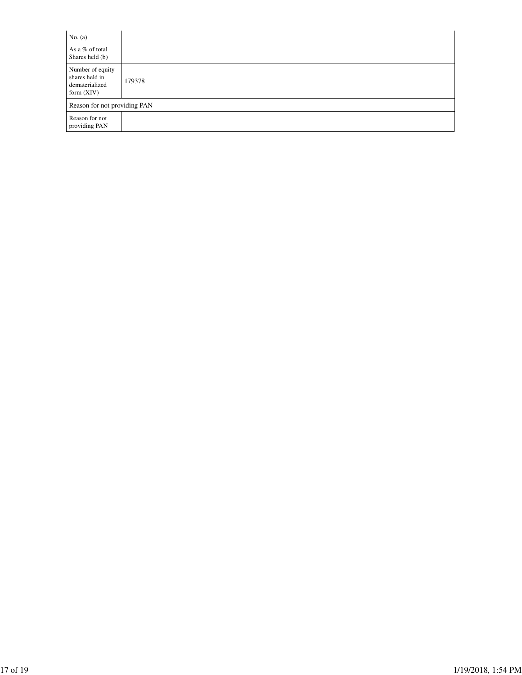| No. $(a)$                                                            |        |  |  |  |  |
|----------------------------------------------------------------------|--------|--|--|--|--|
| As a % of total<br>Shares held (b)                                   |        |  |  |  |  |
| Number of equity<br>shares held in<br>dematerialized<br>form $(XIV)$ | 179378 |  |  |  |  |
| Reason for not providing PAN                                         |        |  |  |  |  |
| Reason for not<br>providing PAN                                      |        |  |  |  |  |